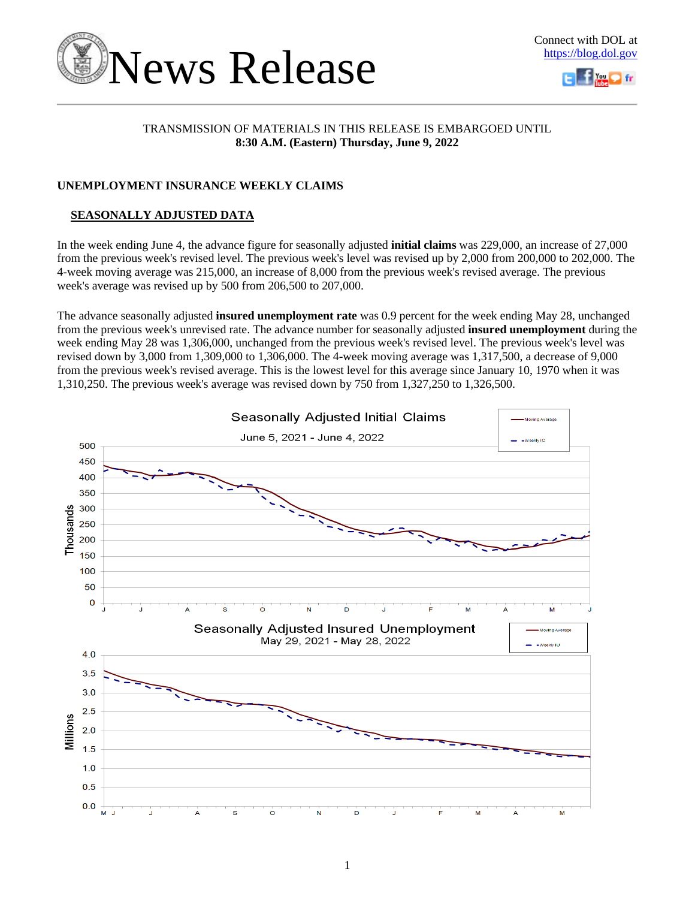

# TRANSMISSION OF MATERIALS IN THIS RELEASE IS EMBARGOED UNTIL **8:30 A.M. (Eastern) Thursday, June 9, 2022**

# **UNEMPLOYMENT INSURANCE WEEKLY CLAIMS**

# **SEASONALLY ADJUSTED DATA**

In the week ending June 4, the advance figure for seasonally adjusted **initial claims** was 229,000, an increase of 27,000 from the previous week's revised level. The previous week's level was revised up by 2,000 from 200,000 to 202,000. The 4-week moving average was 215,000, an increase of 8,000 from the previous week's revised average. The previous week's average was revised up by 500 from 206,500 to 207,000.

The advance seasonally adjusted **insured unemployment rate** was 0.9 percent for the week ending May 28, unchanged from the previous week's unrevised rate. The advance number for seasonally adjusted **insured unemployment** during the week ending May 28 was 1,306,000, unchanged from the previous week's revised level. The previous week's level was revised down by 3,000 from 1,309,000 to 1,306,000. The 4-week moving average was 1,317,500, a decrease of 9,000 from the previous week's revised average. This is the lowest level for this average since January 10, 1970 when it was 1,310,250. The previous week's average was revised down by 750 from 1,327,250 to 1,326,500.

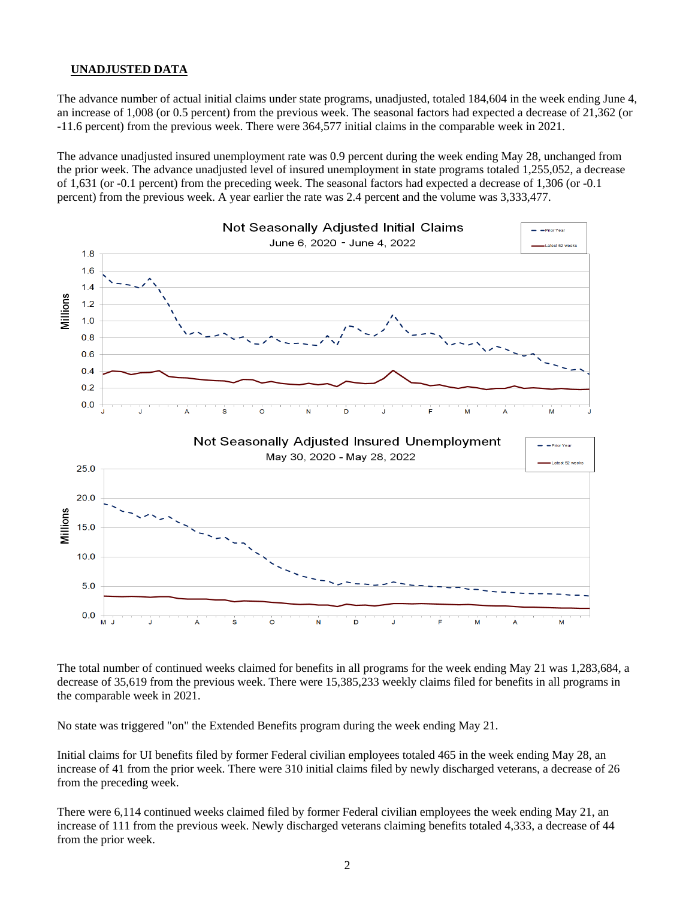## **UNADJUSTED DATA**

The advance number of actual initial claims under state programs, unadjusted, totaled 184,604 in the week ending June 4, an increase of 1,008 (or 0.5 percent) from the previous week. The seasonal factors had expected a decrease of 21,362 (or -11.6 percent) from the previous week. There were 364,577 initial claims in the comparable week in 2021.

The advance unadjusted insured unemployment rate was 0.9 percent during the week ending May 28, unchanged from the prior week. The advance unadjusted level of insured unemployment in state programs totaled 1,255,052, a decrease of 1,631 (or -0.1 percent) from the preceding week. The seasonal factors had expected a decrease of 1,306 (or -0.1 percent) from the previous week. A year earlier the rate was 2.4 percent and the volume was 3,333,477.



The total number of continued weeks claimed for benefits in all programs for the week ending May 21 was 1,283,684, a decrease of 35,619 from the previous week. There were 15,385,233 weekly claims filed for benefits in all programs in the comparable week in 2021.

No state was triggered "on" the Extended Benefits program during the week ending May 21.

Initial claims for UI benefits filed by former Federal civilian employees totaled 465 in the week ending May 28, an increase of 41 from the prior week. There were 310 initial claims filed by newly discharged veterans, a decrease of 26 from the preceding week.

There were 6,114 continued weeks claimed filed by former Federal civilian employees the week ending May 21, an increase of 111 from the previous week. Newly discharged veterans claiming benefits totaled 4,333, a decrease of 44 from the prior week.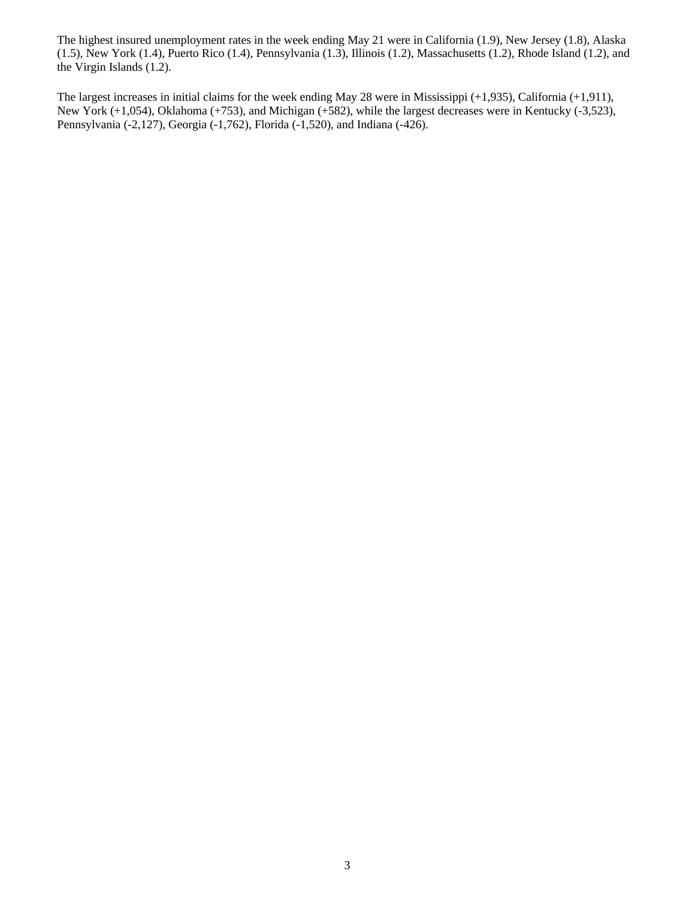The highest insured unemployment rates in the week ending May 21 were in California (1.9), New Jersey (1.8), Alaska (1.5), New York (1.4), Puerto Rico (1.4), Pennsylvania (1.3), Illinois (1.2), Massachusetts (1.2), Rhode Island (1.2), and the Virgin Islands (1.2).

The largest increases in initial claims for the week ending May 28 were in Mississippi (+1,935), California (+1,911), New York (+1,054), Oklahoma (+753), and Michigan (+582), while the largest decreases were in Kentucky (-3,523), Pennsylvania (-2,127), Georgia (-1,762), Florida (-1,520), and Indiana (-426).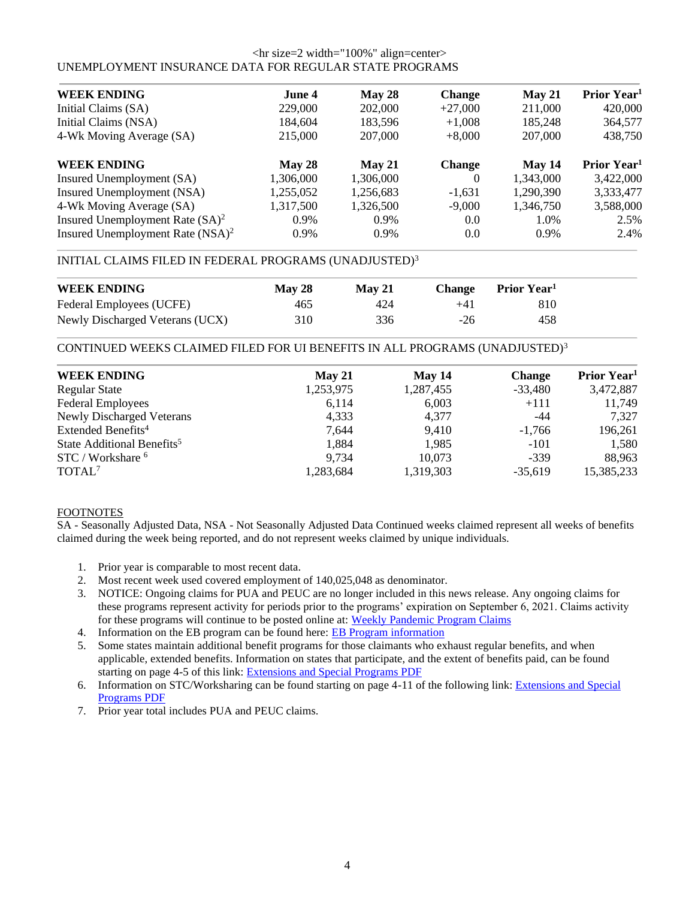### <hr size=2 width="100%" align=center> UNEMPLOYMENT INSURANCE DATA FOR REGULAR STATE PROGRAMS

| <b>WEEK ENDING</b>                           | June 4    |           |               |           | Prior Year <sup>1</sup> |
|----------------------------------------------|-----------|-----------|---------------|-----------|-------------------------|
|                                              |           | May 28    | <b>Change</b> | May 21    |                         |
| Initial Claims (SA)                          | 229,000   | 202,000   | $+27,000$     | 211,000   | 420,000                 |
| Initial Claims (NSA)                         | 184,604   | 183,596   | $+1,008$      | 185,248   | 364,577                 |
| 4-Wk Moving Average (SA)                     | 215,000   | 207,000   | $+8,000$      | 207,000   | 438,750                 |
| <b>WEEK ENDING</b>                           | May 28    | May 21    | <b>Change</b> | May 14    | Prior Year <sup>1</sup> |
| Insured Unemployment (SA)                    | 1,306,000 | 1,306,000 | $\theta$      | 1,343,000 | 3,422,000               |
| Insured Unemployment (NSA)                   | 1,255,052 | 1,256,683 | $-1,631$      | 1,290,390 | 3,333,477               |
| 4-Wk Moving Average (SA)                     | 1,317,500 | 1,326,500 | $-9,000$      | 1,346,750 | 3,588,000               |
| Insured Unemployment Rate $(SA)^2$           | $0.9\%$   | 0.9%      | 0.0           | 1.0%      | 2.5%                    |
| Insured Unemployment Rate (NSA) <sup>2</sup> | 0.9%      | $0.9\%$   | 0.0           | $0.9\%$   | 2.4%                    |

# INITIAL CLAIMS FILED IN FEDERAL PROGRAMS (UNADJUSTED)<sup>3</sup>

| <b>WEEK ENDING</b>              | <b>May 28</b> | $M$ av 21 | <b>Change</b> | Prior Year <sup>1</sup> |  |
|---------------------------------|---------------|-----------|---------------|-------------------------|--|
| Federal Employees (UCFE)        | 465           | 424       | $+41$         | 810                     |  |
| Newly Discharged Veterans (UCX) | 310           | 336       | $-26$         | 458                     |  |

CONTINUED WEEKS CLAIMED FILED FOR UI BENEFITS IN ALL PROGRAMS (UNADJUSTED)<sup>3</sup>

| <b>WEEK ENDING</b>                     | May 21    | May 14    | <b>Change</b> | Prior Year <sup>1</sup> |
|----------------------------------------|-----------|-----------|---------------|-------------------------|
| <b>Regular State</b>                   | 1,253,975 | 1,287,455 | $-33,480$     | 3,472,887               |
| <b>Federal Employees</b>               | 6,114     | 6,003     | $+111$        | 11,749                  |
| <b>Newly Discharged Veterans</b>       | 4,333     | 4,377     | -44           | 7.327                   |
| Extended Benefits <sup>4</sup>         | 7.644     | 9,410     | $-1.766$      | 196,261                 |
| State Additional Benefits <sup>5</sup> | 1,884     | 1,985     | $-101$        | 1,580                   |
| STC / Workshare <sup>6</sup>           | 9,734     | 10,073    | $-339$        | 88,963                  |
| TOTAL <sup>7</sup>                     | 1,283,684 | 1,319,303 | $-35,619$     | 15,385,233              |
|                                        |           |           |               |                         |

## FOOTNOTES

SA - Seasonally Adjusted Data, NSA - Not Seasonally Adjusted Data Continued weeks claimed represent all weeks of benefits claimed during the week being reported, and do not represent weeks claimed by unique individuals.

- 1. Prior year is comparable to most recent data.
- 2. Most recent week used covered employment of 140,025,048 as denominator.
- 3. NOTICE: Ongoing claims for PUA and PEUC are no longer included in this news release. Any ongoing claims for these programs represent activity for periods prior to the programs' expiration on September 6, 2021. Claims activity for these programs will continue to be posted online at: [Weekly Pandemic Program Claims](https://oui.doleta.gov/unemploy/docs/weekly_pandemic_claims.xlsx)
- 4. Information on the EB program can be found here: [EB Program information](https://oui.doleta.gov/unemploy/extenben.asp)
- 5. Some states maintain additional benefit programs for those claimants who exhaust regular benefits, and when applicable, extended benefits. Information on states that participate, and the extent of benefits paid, can be found starting on page 4-5 of this link: [Extensions and Special Programs PDF](https://oui.doleta.gov/unemploy/pdf/uilawcompar/2021/special.pdf#page=5)
- 6. Information on STC/Worksharing can be found starting on page 4-11 of the following link: [Extensions and Special](https://oui.doleta.gov/unemploy/pdf/uilawcompar/2021/special.pdf#page=11)  [Programs PDF](https://oui.doleta.gov/unemploy/pdf/uilawcompar/2021/special.pdf#page=11)
- 7. Prior year total includes PUA and PEUC claims.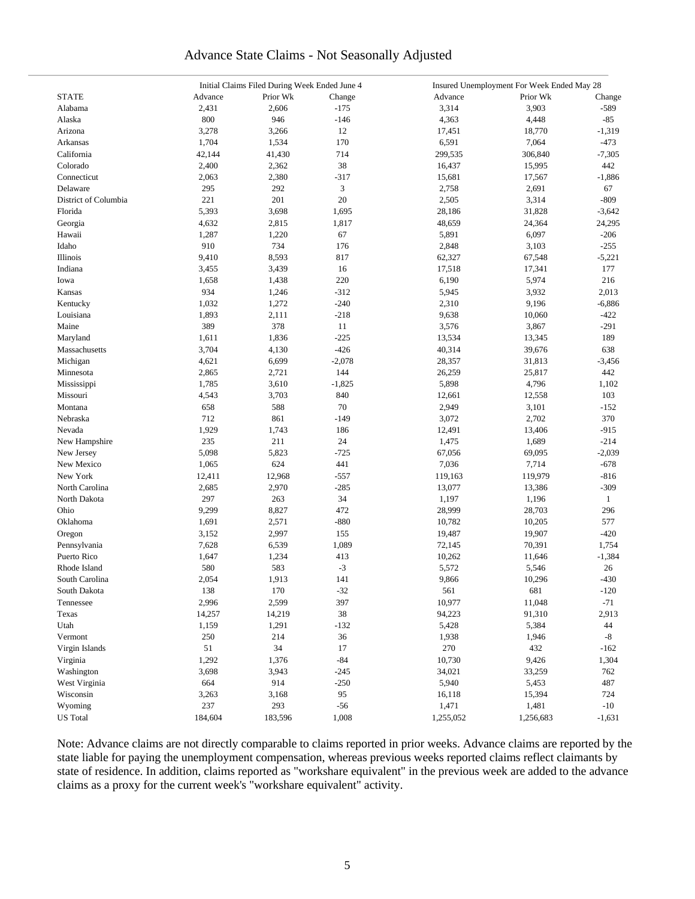# Advance State Claims - Not Seasonally Adjusted

|                      | Initial Claims Filed During Week Ended June 4 |          |          | Insured Unemployment For Week Ended May 28 |           |              |
|----------------------|-----------------------------------------------|----------|----------|--------------------------------------------|-----------|--------------|
| <b>STATE</b>         | Advance                                       | Prior Wk | Change   | Advance                                    | Prior Wk  | Change       |
| Alabama              | 2,431                                         | 2,606    | $-175$   | 3,314                                      | 3,903     | $-589$       |
| Alaska               | 800                                           | 946      | $-146$   | 4,363                                      | 4,448     | $-85$        |
| Arizona              | 3,278                                         | 3,266    | 12       | 17,451                                     | 18,770    | $-1,319$     |
| Arkansas             | 1,704                                         | 1,534    | 170      | 6,591                                      | 7,064     | $-473$       |
| California           | 42,144                                        | 41,430   | 714      | 299,535                                    | 306,840   | $-7,305$     |
| Colorado             | 2,400                                         | 2,362    | 38       | 16,437                                     | 15,995    | 442          |
| Connecticut          | 2,063                                         | 2,380    | $-317$   | 15,681                                     | 17,567    | $-1,886$     |
| Delaware             |                                               | 292      | 3        |                                            |           |              |
|                      | 295                                           |          |          | 2,758                                      | 2,691     | 67           |
| District of Columbia | 221                                           | 201      | 20       | 2,505                                      | 3,314     | $-809$       |
| Florida              | 5,393                                         | 3,698    | 1,695    | 28,186                                     | 31,828    | $-3,642$     |
| Georgia              | 4,632                                         | 2,815    | 1,817    | 48,659                                     | 24,364    | 24,295       |
| Hawaii               | 1,287                                         | 1,220    | 67       | 5,891                                      | 6,097     | $-206$       |
| Idaho                | 910                                           | 734      | 176      | 2,848                                      | 3,103     | $-255$       |
| Illinois             | 9,410                                         | 8,593    | 817      | 62,327                                     | 67,548    | $-5,221$     |
| Indiana              | 3,455                                         | 3,439    | 16       | 17,518                                     | 17,341    | 177          |
| Iowa                 | 1,658                                         | 1,438    | 220      | 6,190                                      | 5,974     | 216          |
| Kansas               | 934                                           | 1,246    | $-312$   | 5,945                                      | 3,932     | 2,013        |
| Kentucky             | 1,032                                         | 1,272    | $-240$   | 2,310                                      | 9,196     | $-6,886$     |
| Louisiana            | 1,893                                         | 2,111    | $-218$   | 9,638                                      | 10,060    | $-422$       |
| Maine                | 389                                           | 378      | 11       | 3,576                                      | 3,867     | $-291$       |
| Maryland             | 1,611                                         | 1,836    | $-225$   | 13,534                                     | 13,345    | 189          |
| Massachusetts        | 3,704                                         | 4,130    | $-426$   | 40,314                                     | 39,676    | 638          |
| Michigan             | 4,621                                         | 6,699    | $-2,078$ | 28,357                                     | 31,813    | $-3,456$     |
| Minnesota            | 2,865                                         | 2,721    | 144      | 26,259                                     | 25,817    | 442          |
| Mississippi          | 1,785                                         | 3,610    | $-1,825$ | 5,898                                      | 4,796     | 1,102        |
| Missouri             | 4,543                                         | 3,703    | 840      | 12,661                                     | 12,558    | 103          |
| Montana              | 658                                           | 588      | 70       | 2,949                                      | 3,101     | $-152$       |
| Nebraska             | 712                                           | 861      | $-149$   | 3,072                                      | 2,702     | 370          |
| Nevada               | 1,929                                         | 1,743    | 186      | 12,491                                     | 13,406    | $-915$       |
| New Hampshire        | 235                                           | 211      | 24       | 1,475                                      | 1,689     | $-214$       |
| New Jersey           | 5,098                                         | 5,823    | $-725$   | 67,056                                     | 69,095    | $-2,039$     |
| New Mexico           | 1,065                                         | 624      | 441      | 7,036                                      | 7,714     | $-678$       |
|                      |                                               |          |          |                                            |           |              |
| New York             | 12,411                                        | 12,968   | $-557$   | 119,163                                    | 119,979   | $-816$       |
| North Carolina       | 2,685                                         | 2,970    | $-285$   | 13,077                                     | 13,386    | $-309$       |
| North Dakota         | 297                                           | 263      | 34       | 1,197                                      | 1,196     | $\mathbf{1}$ |
| Ohio                 | 9,299                                         | 8,827    | 472      | 28,999                                     | 28,703    | 296          |
| Oklahoma             | 1,691                                         | 2,571    | $-880$   | 10,782                                     | 10,205    | 577          |
| Oregon               | 3,152                                         | 2,997    | 155      | 19,487                                     | 19,907    | $-420$       |
| Pennsylvania         | 7,628                                         | 6,539    | 1,089    | 72,145                                     | 70,391    | 1,754        |
| Puerto Rico          | 1,647                                         | 1,234    | 413      | 10,262                                     | 11,646    | $-1,384$     |
| Rhode Island         | 580                                           | 583      | $-3$     | 5,572                                      | 5,546     | 26           |
| South Carolina       | 2,054                                         | 1,913    | 141      | 9,866                                      | 10,296    | $-430$       |
| South Dakota         | 138                                           | 170      | $-32$    | 561                                        | 681       | $-120$       |
| Tennessee            | 2,996                                         | 2,599    | 397      | 10,977                                     | 11,048    | $-71$        |
| Texas                | 14,257                                        | 14,219   | 38       | 94,223                                     | 91,310    | 2,913        |
| Utah                 | 1,159                                         | 1,291    | $-132$   | 5,428                                      | 5,384     | 44           |
| Vermont              | 250                                           | 214      | 36       | 1,938                                      | 1,946     | $-8$         |
| Virgin Islands       | 51                                            | 34       | 17       | 270                                        | 432       | $-162$       |
| Virginia             | 1,292                                         | 1,376    | $-84$    | 10,730                                     | 9,426     | 1,304        |
| Washington           | 3,698                                         | 3,943    | $-245$   | 34,021                                     | 33,259    | 762          |
| West Virginia        | 664                                           | 914      | $-250$   | 5,940                                      | 5,453     | 487          |
| Wisconsin            | 3,263                                         | 3,168    | 95       | 16,118                                     | 15,394    | 724          |
| Wyoming              | 237                                           | 293      | $-56$    | 1,471                                      | 1,481     | $-10$        |
| <b>US</b> Total      | 184,604                                       | 183,596  | 1,008    | 1,255,052                                  | 1,256,683 | $-1,631$     |
|                      |                                               |          |          |                                            |           |              |

Note: Advance claims are not directly comparable to claims reported in prior weeks. Advance claims are reported by the state liable for paying the unemployment compensation, whereas previous weeks reported claims reflect claimants by state of residence. In addition, claims reported as "workshare equivalent" in the previous week are added to the advance claims as a proxy for the current week's "workshare equivalent" activity.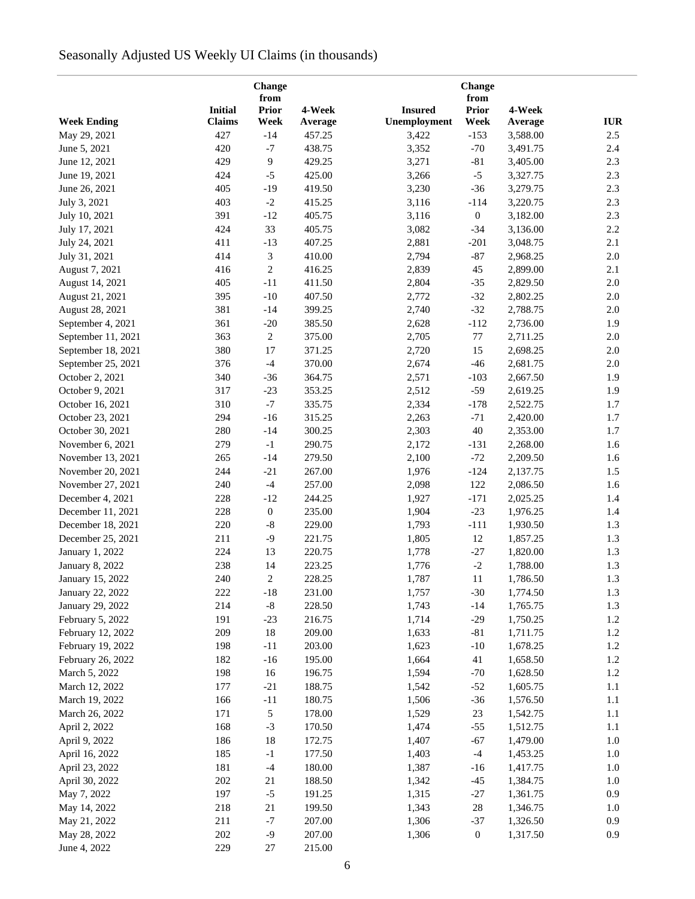# Seasonally Adjusted US Weekly UI Claims (in thousands)

|                                      | Change<br>from |                      |         |                |                      |          |            |
|--------------------------------------|----------------|----------------------|---------|----------------|----------------------|----------|------------|
|                                      | <b>Initial</b> | <b>Prior</b>         | 4-Week  | <b>Insured</b> | from<br><b>Prior</b> | 4-Week   |            |
| <b>Week Ending</b>                   | <b>Claims</b>  | Week                 | Average | Unemployment   | Week                 | Average  | <b>IUR</b> |
| May 29, 2021                         | 427            | $-14$                | 457.25  | 3,422          | $-153$               | 3,588.00 | 2.5        |
| June 5, 2021                         | 420            | $-7$                 | 438.75  | 3,352          | $-70$                | 3,491.75 | 2.4        |
| June 12, 2021                        | 429            | 9                    | 429.25  | 3,271          | $-81$                | 3,405.00 | 2.3        |
| June 19, 2021                        | 424            | $-5$                 | 425.00  | 3,266          | $-5$                 | 3,327.75 | 2.3        |
|                                      |                |                      |         |                |                      |          |            |
| June 26, 2021                        | 405            | $-19$                | 419.50  | 3,230          | $-36$                | 3,279.75 | 2.3        |
| July 3, 2021                         | 403            | $-2$                 | 415.25  | 3,116          | $-114$               | 3,220.75 | 2.3        |
| July 10, 2021                        | 391            | $-12$                | 405.75  | 3,116          | $\boldsymbol{0}$     | 3,182.00 | 2.3        |
| July 17, 2021                        | 424            | 33                   | 405.75  | 3,082          | $-34$                | 3,136.00 | 2.2        |
| July 24, 2021                        | 411            | $-13$                | 407.25  | 2,881          | $-201$               | 3,048.75 | 2.1        |
| July 31, 2021                        | 414            | 3                    | 410.00  | 2,794          | $-87$                | 2,968.25 | 2.0        |
| August 7, 2021                       | 416            | $\overline{c}$       | 416.25  | 2,839          | 45                   | 2,899.00 | 2.1        |
| August 14, 2021                      | 405            | $-11$                | 411.50  | 2,804          | $-35$                | 2,829.50 | $2.0\,$    |
| August 21, 2021                      | 395            | $-10$                | 407.50  | 2,772          | $-32$                | 2,802.25 | $2.0\,$    |
| August 28, 2021                      | 381            | $-14$                | 399.25  | 2,740          | $-32$                | 2,788.75 | 2.0        |
| September 4, 2021                    | 361            | $-20$                | 385.50  | 2,628          | $-112$               | 2,736.00 | 1.9        |
| September 11, 2021                   | 363            | $\sqrt{2}$           | 375.00  | 2,705          | $77\,$               | 2,711.25 | $2.0\,$    |
| September 18, 2021                   | 380            | 17                   | 371.25  | 2,720          | 15                   | 2,698.25 | $2.0\,$    |
| September 25, 2021                   | 376            | $-4$                 | 370.00  | 2,674          | $-46$                | 2,681.75 | $2.0\,$    |
| October 2, 2021                      | 340            | $-36$                | 364.75  | 2,571          | $-103$               | 2,667.50 | 1.9        |
| October 9, 2021                      | 317            | $-23$                | 353.25  | 2,512          | $-59$                | 2,619.25 | 1.9        |
| October 16, 2021                     | 310            | $-7$                 | 335.75  | 2,334          | $-178$               | 2,522.75 | 1.7        |
| October 23, 2021                     | 294            | $-16$                | 315.25  | 2,263          | $-71$                | 2,420.00 | 1.7        |
| October 30, 2021                     | 280            | $-14$                | 300.25  | 2,303          | $40\,$               | 2,353.00 | 1.7        |
| November 6, 2021                     | 279            | $-1$                 | 290.75  | 2,172          | $-131$               | 2,268.00 | 1.6        |
| November 13, 2021                    | 265            | $-14$                | 279.50  | 2,100          | $-72$                | 2,209.50 | 1.6        |
| November 20, 2021                    | 244            | $-21$                | 267.00  | 1,976          | $-124$               | 2,137.75 | 1.5        |
| November 27, 2021                    | 240            | $-4$                 | 257.00  | 2,098          | 122                  | 2,086.50 | 1.6        |
| December 4, 2021                     | 228            | $-12$                | 244.25  | 1,927          | $-171$               | 2,025.25 | 1.4        |
| December 11, 2021                    | 228            | $\boldsymbol{0}$     | 235.00  | 1,904          | $-23$                | 1,976.25 | 1.4        |
| December 18, 2021                    | 220            | $\text{-}8$          | 229.00  | 1,793          | $-111$               | 1,930.50 | 1.3        |
| December 25, 2021                    | 211            | $-9$                 | 221.75  | 1,805          | $12\,$               | 1,857.25 | 1.3        |
| January 1, 2022                      | 224            | 13                   | 220.75  | 1,778          | $-27$                | 1,820.00 | 1.3        |
| January 8, 2022                      | 238            | 14                   | 223.25  | 1,776          | $\textnormal{-}2$    | 1,788.00 | 1.3        |
| January 15, 2022                     | 240            | $\overline{c}$       | 228.25  | 1,787          | 11                   | 1,786.50 | 1.3        |
|                                      | 222            |                      | 231.00  | 1,757          | $-30$                | 1,774.50 |            |
| January 22, 2022<br>January 29, 2022 | 214            | $-18$<br>$\text{-}8$ |         |                |                      |          | 1.3<br>1.3 |
|                                      |                |                      | 228.50  | 1,743          | $-14$                | 1,765.75 |            |
| February 5, 2022                     | 191            | $-23$                | 216.75  | 1,714          | $-29$                | 1,750.25 | 1.2        |
| February 12, 2022                    | 209            | 18                   | 209.00  | 1,633          | $-81$                | 1,711.75 | 1.2        |
| February 19, 2022                    | 198            | $-11$                | 203.00  | 1,623          | $-10$                | 1,678.25 | 1.2        |
| February 26, 2022                    | 182            | $-16$                | 195.00  | 1,664          | 41                   | 1,658.50 | 1.2        |
| March 5, 2022                        | 198            | 16                   | 196.75  | 1,594          | $-70$                | 1,628.50 | $1.2\,$    |
| March 12, 2022                       | 177            | $-21$                | 188.75  | 1,542          | $-52$                | 1,605.75 | 1.1        |
| March 19, 2022                       | 166            | $-11$                | 180.75  | 1,506          | $-36$                | 1,576.50 | 1.1        |
| March 26, 2022                       | 171            | 5                    | 178.00  | 1,529          | 23                   | 1,542.75 | 1.1        |
| April 2, 2022                        | 168            | $-3$                 | 170.50  | 1,474          | $-55$                | 1,512.75 | 1.1        |
| April 9, 2022                        | 186            | 18                   | 172.75  | 1,407          | $-67$                | 1,479.00 | $1.0\,$    |
| April 16, 2022                       | 185            | $-1$                 | 177.50  | 1,403          | $-4$                 | 1,453.25 | $1.0\,$    |
| April 23, 2022                       | 181            | $-4$                 | 180.00  | 1,387          | $-16$                | 1,417.75 | 1.0        |
| April 30, 2022                       | 202            | 21                   | 188.50  | 1,342          | $-45$                | 1,384.75 | 1.0        |
| May 7, 2022                          | 197            | $-5$                 | 191.25  | 1,315          | $-27$                | 1,361.75 | 0.9        |
| May 14, 2022                         | 218            | 21                   | 199.50  | 1,343          | $28\,$               | 1,346.75 | 1.0        |
| May 21, 2022                         | 211            | $-7$                 | 207.00  | 1,306          | $-37$                | 1,326.50 | 0.9        |
| May 28, 2022                         | 202            | $-9$                 | 207.00  | 1,306          | $\boldsymbol{0}$     | 1,317.50 | 0.9        |
| June 4, 2022                         | 229            | 27                   | 215.00  |                |                      |          |            |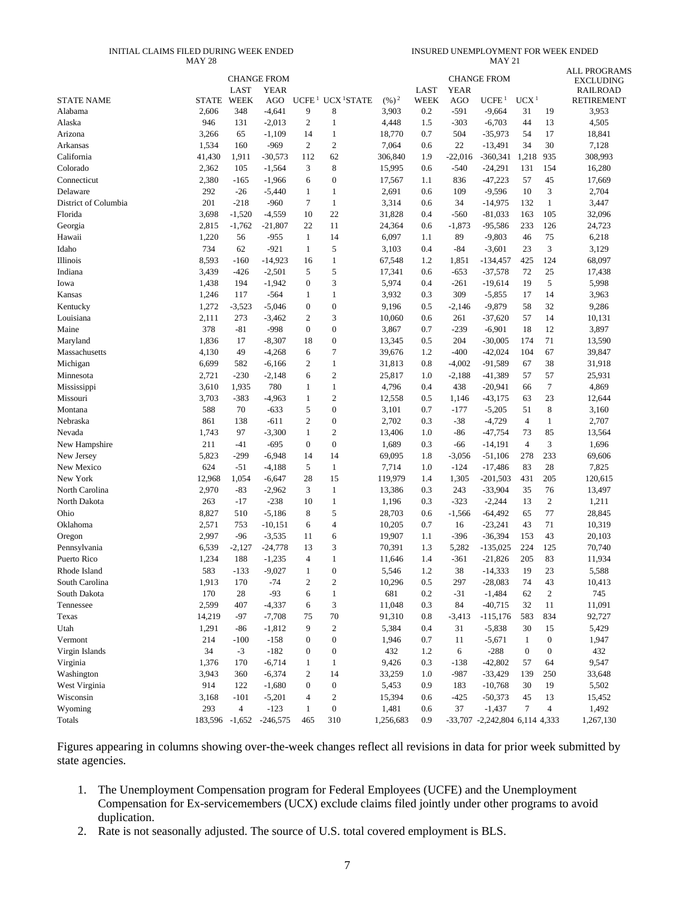#### INITIAL CLAIMS FILED DURING WEEK ENDED MAY 28

INSURED UNEMPLOYMENT FOR WEEK ENDED MAY 21

|                      |                |                | <b>CHANGE FROM</b> |                   |                        |                   |             |             | <b>CHANGE FROM</b>             |                  |                  | <b>ALL PROGRAMS</b>          |
|----------------------|----------------|----------------|--------------------|-------------------|------------------------|-------------------|-------------|-------------|--------------------------------|------------------|------------------|------------------------------|
|                      |                | LAST           | <b>YEAR</b>        |                   |                        |                   | LAST        | <b>YEAR</b> |                                |                  |                  | EXCLUDING<br><b>RAILROAD</b> |
| <b>STATE NAME</b>    | <b>STATE</b>   | <b>WEEK</b>    | <b>AGO</b>         | UCFE <sup>1</sup> | UCX <sup>1</sup> STATE | $(\frac{9}{6})^2$ | <b>WEEK</b> | <b>AGO</b>  | UCFE <sup>1</sup>              | UCX <sup>1</sup> |                  | <b>RETIREMENT</b>            |
| Alabama              | 2,606          | 348            | $-4,641$           | 9                 | 8                      | 3,903             | 0.2         | $-591$      | $-9,664$                       | 31               | 19               | 3,953                        |
| Alaska               | 946            | 131            | $-2,013$           | $\overline{c}$    | $\mathbf{1}$           | 4,448             | 1.5         | $-303$      | $-6,703$                       | 44               | 13               | 4,505                        |
| Arizona              | 3,266          | 65             | $-1,109$           | 14                | $\mathbf{1}$           | 18,770            | 0.7         | 504         | $-35,973$                      | 54               | 17               | 18,841                       |
| Arkansas             | 1,534          | 160            | $-969$             | $\overline{c}$    | $\overline{c}$         | 7,064             | 0.6         | 22          | $-13,491$                      | 34               | 30               | 7,128                        |
| California           | 41,430         | 1,911          | $-30,573$          | 112               | 62                     | 306,840           | 1.9         | $-22,016$   | $-360,341$                     | 1,218            | 935              | 308,993                      |
| Colorado             | 2,362          | 105            | $-1,564$           | 3                 | 8                      | 15,995            | 0.6         | $-540$      | $-24,291$                      | 131              | 154              | 16,280                       |
| Connecticut          | 2,380          | $-165$         | $-1,966$           | 6                 | $\boldsymbol{0}$       | 17,567            | 1.1         | 836         | $-47,223$                      | 57               | 45               | 17,669                       |
| Delaware             | 292            | $-26$          | $-5,440$           | 1                 | $\mathbf{1}$           | 2,691             | 0.6         | 109         | $-9,596$                       | 10               | 3                | 2,704                        |
| District of Columbia | 201            | $-218$         | $-960$             | 7                 | $\mathbf{1}$           | 3,314             | 0.6         | 34          | $-14,975$                      | 132              | $\mathbf{1}$     | 3,447                        |
| Florida              | 3,698          | $-1,520$       | $-4,559$           | 10                | 22                     | 31,828            | 0.4         | $-560$      | $-81,033$                      | 163              | 105              | 32,096                       |
| Georgia              | 2,815          | $-1,762$       | $-21,807$          | 22                | 11                     | 24,364            | 0.6         | $-1,873$    | $-95,586$                      | 233              | 126              | 24,723                       |
| Hawaii               | 1,220          | 56             | $-955$             | $\mathbf{1}$      | 14                     | 6,097             | 1.1         | 89          | $-9,803$                       | 46               | 75               | 6,218                        |
| Idaho                | 734            | 62             | $-921$             | $\mathbf{1}$      | 5                      | 3,103             | 0.4         | $-84$       | $-3,601$                       | 23               | 3                | 3,129                        |
| Illinois             | 8,593          | $-160$         | $-14,923$          | 16                | $\mathbf{1}$           | 67,548            | 1.2         | 1,851       | $-134,457$                     | 425              | 124              | 68,097                       |
| Indiana              | 3,439          | $-426$         | $-2,501$           | 5                 | 5                      | 17,341            | 0.6         | $-653$      | $-37,578$                      | 72               | 25               | 17,438                       |
| Iowa                 | 1,438          | 194            | $-1,942$           | $\boldsymbol{0}$  | 3                      | 5,974             | 0.4         | $-261$      | $-19,614$                      | 19               | 5                | 5,998                        |
| Kansas               | 1,246          | 117            | $-564$             | 1                 | 1                      | 3,932             | 0.3         | 309         | $-5,855$                       | 17               | 14               | 3,963                        |
| Kentucky             | 1,272          | $-3,523$       | $-5,046$           | $\boldsymbol{0}$  | $\boldsymbol{0}$       | 9,196             | 0.5         | $-2,146$    | $-9,879$                       | 58               | 32               | 9,286                        |
| Louisiana            | 2,111          | 273            | $-3,462$           | $\overline{c}$    | 3                      | 10,060            | 0.6         | 261         | $-37,620$                      | 57               | 14               | 10,131                       |
| Maine                | 378            | $-81$          | $-998$             | $\boldsymbol{0}$  | $\boldsymbol{0}$       | 3,867             | 0.7         | $-239$      | $-6,901$                       | 18               | 12               | 3,897                        |
| Maryland             | 1,836          | 17             | $-8,307$           | 18                | $\boldsymbol{0}$       | 13,345            | 0.5         | 204         | $-30,005$                      | 174              | 71               | 13,590                       |
| Massachusetts        | 4,130          | 49             | $-4,268$           | 6                 | $\boldsymbol{7}$       | 39,676            | 1.2         | $-400$      | $-42,024$                      | 104              | 67               | 39,847                       |
| Michigan             | 6,699          | 582            | $-6,166$           | 2                 | $\mathbf{1}$           | 31,813            | 0.8         | $-4,002$    | $-91,589$                      | 67               | 38               | 31,918                       |
| Minnesota            | 2,721          | $-230$         | $-2,148$           | 6                 | $\mathbf{2}$           | 25,817            | 1.0         | $-2,188$    | $-41,389$                      | 57               | 57               | 25,931                       |
| Mississippi          | 3,610          | 1,935          | 780                | $\mathbf{1}$      | $\mathbf{1}$           | 4,796             | 0.4         | 438         | $-20,941$                      | 66               | $\tau$           | 4,869                        |
| Missouri             | 3,703          | $-383$         | $-4,963$           | $\mathbf{1}$      | $\mathbf{2}$           | 12,558            | 0.5         | 1,146       | $-43,175$                      | 63               | 23               | 12,644                       |
| Montana              | 588            | 70             | $-633$             | 5                 | $\boldsymbol{0}$       | 3,101             | 0.7         | $-177$      | $-5,205$                       | 51               | 8                | 3,160                        |
| Nebraska             | 861            | 138            | $-611$             | $\mathbf{2}$      | $\boldsymbol{0}$       | 2,702             | 0.3         | $-38$       | $-4,729$                       | $\overline{4}$   | 1                | 2,707                        |
| Nevada               | 1,743          | 97             | $-3,300$           | $\mathbf{1}$      | $\mathbf{2}$           | 13,406            | 1.0         | $-86$       | $-47,754$                      | 73               | 85               | 13,564                       |
| New Hampshire        | 211            | $-41$          | $-695$             | $\boldsymbol{0}$  | $\boldsymbol{0}$       | 1,689             | 0.3         | -66         | $-14,191$                      | $\overline{4}$   | 3                | 1,696                        |
| New Jersey           | 5,823          | $-299$         | $-6,948$           | 14                | 14                     | 69,095            | 1.8         | $-3,056$    | $-51,106$                      | 278              | 233              | 69,606                       |
| New Mexico           | 624            | $-51$          | $-4,188$           | 5                 | $\mathbf{1}$           | 7,714             | 1.0         | $-124$      | $-17,486$                      | 83               | 28               | 7,825                        |
| New York             | 12,968         | 1,054          | $-6,647$           | 28                | 15                     | 119,979           | 1.4         | 1,305       | $-201,503$                     | 431              | 205              | 120,615                      |
| North Carolina       | 2,970          | $-83$          | $-2,962$           | 3                 | $\mathbf{1}$           | 13,386            | 0.3         | 243         | $-33,904$                      | 35               | 76               | 13,497                       |
| North Dakota         | 263            | $-17$          | $-238$             | 10                | $\mathbf{1}$           | 1,196             | 0.3         | $-323$      | $-2,244$                       | 13               | $\boldsymbol{2}$ | 1,211                        |
| Ohio                 | 8,827          | 510            | $-5,186$           | 8                 | 5                      | 28,703            | 0.6         | $-1,566$    | $-64,492$                      | 65               | 77               | 28,845                       |
| Oklahoma             | 2,571          | 753            | $-10,151$          | 6                 | 4                      | 10,205            | 0.7         | 16          | $-23,241$                      | 43               | 71               | 10,319                       |
| Oregon               | 2,997          | $-96$          | $-3,535$           | 11                | 6                      | 19,907            | 1.1         | $-396$      | $-36,394$                      | 153              | 43               | 20,103                       |
| Pennsylvania         | 6,539          | $-2,127$       | $-24,778$          | 13                | 3                      | 70,391            | 1.3         | 5,282       | $-135,025$                     | 224              | 125              | 70,740                       |
| Puerto Rico          | 1,234          | 188            | $-1,235$           | $\overline{4}$    | $\mathbf{1}$           | 11,646            | 1.4         | $-361$      | $-21,826$                      | 205              | 83               | 11,934                       |
| Rhode Island         | 583            | $-133$         | $-9,027$           | $\mathbf{1}$      | $\overline{0}$         | 5,546             | 1.2         | 38          | $-14,333$                      | 19               | 23               | 5,588                        |
| South Carolina       | 1,913          | 170            | $-74$              | $\boldsymbol{2}$  | $\mathbf{2}$           | 10,296            | 0.5         | 297         | $-28,083$                      | 74               | 43               | 10,413                       |
| South Dakota         | 170            | 28             | $-93$              | 6                 | $\mathbf{1}$           | 681               | 0.2         | $-31$       | $-1,484$                       | 62               | $\boldsymbol{2}$ | 745                          |
| Tennessee            | 2,599          | 407            | $-4,337$           | 6                 | 3                      | 11,048            | 0.3         | 84          | $-40,715$                      | 32               | 11               | 11,091                       |
| Texas                | 14,219         | $-97$          | $-7,708$           | 75                | 70                     | 91,310            | 0.8         | $-3,413$    | $-115,176$                     | 583              | 834              | 92,727                       |
| Utah                 | 1,291          | -86            | $-1,812$           | 9                 | $\boldsymbol{2}$       | 5,384             | 0.4         | 31          | $-5,838$                       | 30               | 15               | 5,429                        |
| Vermont              | 214            | $-100$         | $-158$             | $\boldsymbol{0}$  | $\boldsymbol{0}$       | 1,946             | 0.7         | 11          | $-5,671$                       | $\mathbf{1}$     | $\boldsymbol{0}$ | 1,947                        |
| Virgin Islands       | 34             | $-3$           | $-182$             | $\boldsymbol{0}$  | $\boldsymbol{0}$       | 432               | 1.2         | 6           | $-288$                         | $\boldsymbol{0}$ | $\boldsymbol{0}$ | 432                          |
| Virginia             | 1,376          | 170            | $-6,714$           | $\mathbf{1}$      | $\mathbf{1}$           | 9,426             | 0.3         | $-138$      | $-42,802$                      | 57               | 64               | 9,547                        |
| Washington           | 3,943          | 360            | $-6,374$           | 2                 | 14                     | 33,259            | 1.0         | $-987$      | $-33,429$                      | 139              | 250              | 33,648                       |
| West Virginia        | 914            | 122            | $-1,680$           | $\boldsymbol{0}$  | $\boldsymbol{0}$       | 5,453             | 0.9         | 183         | $-10,768$                      | 30               | 19               | 5,502                        |
| Wisconsin            | 3,168          | $-101$         | $-5,201$           | 4                 | $\sqrt{2}$             | 15,394            | 0.6         | $-425$      | $-50,373$                      | 45               | 13               | 15,452                       |
| Wyoming              | 293            | $\overline{4}$ | $-123$             | 1                 | $\boldsymbol{0}$       | 1,481             | 0.6         | 37          | $-1,437$                       | 7                | 4                | 1,492                        |
| Totals               | 183,596 -1,652 |                | $-246,575$         | 465               | 310                    | 1,256,683         | 0.9         |             | -33,707 -2,242,804 6,114 4,333 |                  |                  | 1,267,130                    |

Figures appearing in columns showing over-the-week changes reflect all revisions in data for prior week submitted by state agencies.

- 1. The Unemployment Compensation program for Federal Employees (UCFE) and the Unemployment Compensation for Ex-servicemembers (UCX) exclude claims filed jointly under other programs to avoid duplication.
- 2. Rate is not seasonally adjusted. The source of U.S. total covered employment is BLS.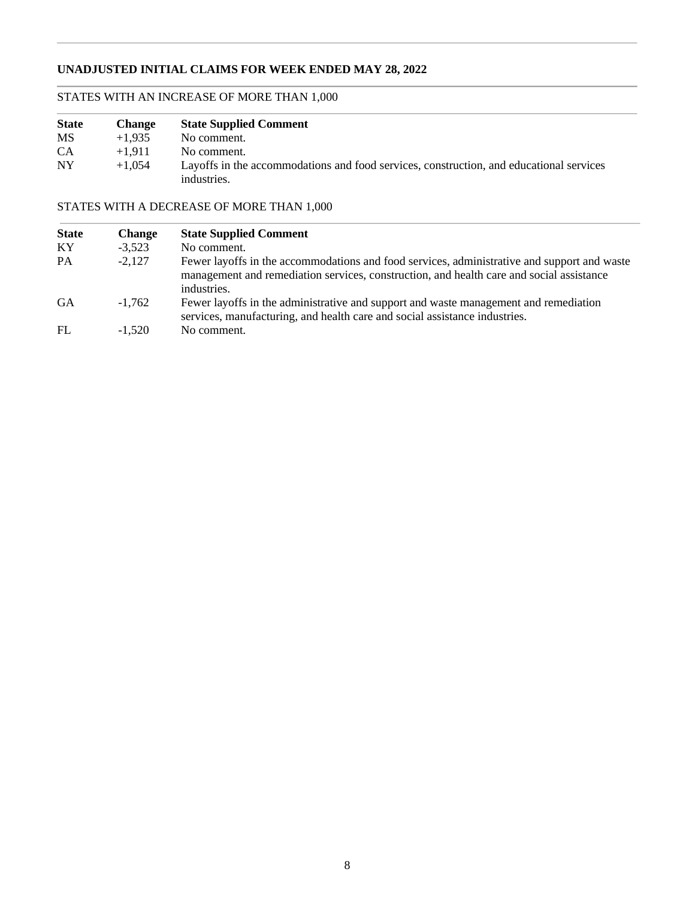# **UNADJUSTED INITIAL CLAIMS FOR WEEK ENDED MAY 28, 2022**

# STATES WITH AN INCREASE OF MORE THAN 1,000

| <b>State</b> | <b>Change</b> | <b>State Supplied Comment</b>                                                                          |
|--------------|---------------|--------------------------------------------------------------------------------------------------------|
| <b>MS</b>    | $+1.935$      | No comment.                                                                                            |
| <b>CA</b>    | $+1.911$      | No comment.                                                                                            |
| <b>NY</b>    | $+1.054$      | Layoffs in the accommodations and food services, construction, and educational services<br>industries. |

# STATES WITH A DECREASE OF MORE THAN 1,000

| <b>State</b> | <b>Change</b> | <b>State Supplied Comment</b>                                                                                                                                                                          |
|--------------|---------------|--------------------------------------------------------------------------------------------------------------------------------------------------------------------------------------------------------|
| KY           | $-3.523$      | No comment.                                                                                                                                                                                            |
| PA           | $-2,127$      | Fewer layoffs in the accommodations and food services, administrative and support and waste<br>management and remediation services, construction, and health care and social assistance<br>industries. |
| <b>GA</b>    | $-1.762$      | Fewer layoffs in the administrative and support and waste management and remediation<br>services, manufacturing, and health care and social assistance industries.                                     |
| FL           | $-1.520$      | No comment.                                                                                                                                                                                            |